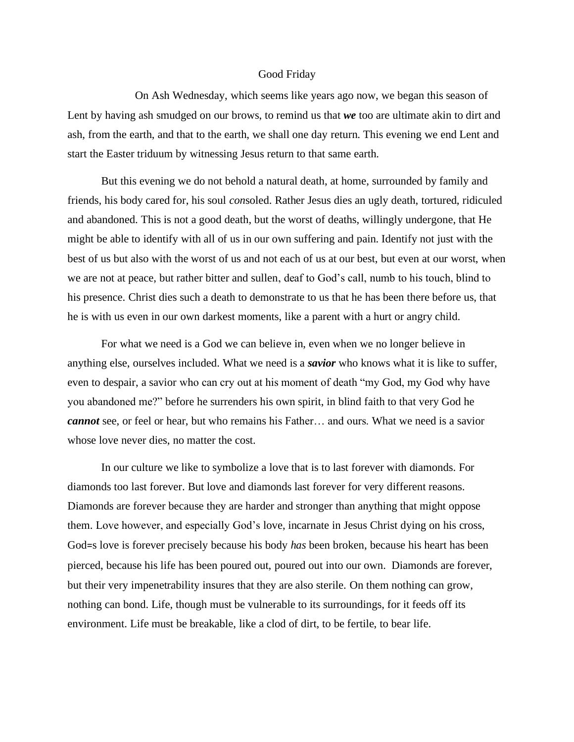## Good Friday

On Ash Wednesday, which seems like years ago now, we began this season of Lent by having ash smudged on our brows, to remind us that *we* too are ultimate akin to dirt and ash, from the earth, and that to the earth, we shall one day return. This evening we end Lent and start the Easter triduum by witnessing Jesus return to that same earth.

But this evening we do not behold a natural death, at home, surrounded by family and friends, his body cared for, his soul *con*soled. Rather Jesus dies an ugly death, tortured, ridiculed and abandoned. This is not a good death, but the worst of deaths, willingly undergone, that He might be able to identify with all of us in our own suffering and pain. Identify not just with the best of us but also with the worst of us and not each of us at our best, but even at our worst, when we are not at peace, but rather bitter and sullen, deaf to God's call, numb to his touch, blind to his presence. Christ dies such a death to demonstrate to us that he has been there before us, that he is with us even in our own darkest moments, like a parent with a hurt or angry child.

For what we need is a God we can believe in, even when we no longer believe in anything else, ourselves included. What we need is a *savior* who knows what it is like to suffer, even to despair, a savior who can cry out at his moment of death "my God, my God why have you abandoned me?" before he surrenders his own spirit, in blind faith to that very God he *cannot* see, or feel or hear, but who remains his Father… and ours. What we need is a savior whose love never dies, no matter the cost.

In our culture we like to symbolize a love that is to last forever with diamonds. For diamonds too last forever. But love and diamonds last forever for very different reasons. Diamonds are forever because they are harder and stronger than anything that might oppose them. Love however, and especially God's love, incarnate in Jesus Christ dying on his cross, God=s love is forever precisely because his body *has* been broken, because his heart has been pierced, because his life has been poured out, poured out into our own. Diamonds are forever, but their very impenetrability insures that they are also sterile. On them nothing can grow, nothing can bond. Life, though must be vulnerable to its surroundings, for it feeds off its environment. Life must be breakable, like a clod of dirt, to be fertile, to bear life.